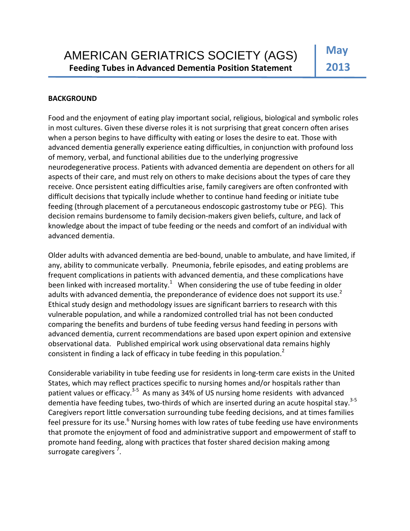## **BACKGROUND**

Food and the enjoyment of eating play important social, religious, biological and symbolic roles in most cultures. Given these diverse roles it is not surprising that great concern often arises when a person begins to have difficulty with eating or loses the desire to eat. Those with advanced dementia generally experience eating difficulties, in conjunction with profound loss of memory, verbal, and functional abilities due to the underlying progressive neurodegenerative process. Patients with advanced dementia are dependent on others for all aspects of their care, and must rely on others to make decisions about the types of care they receive. Once persistent eating difficulties arise, family caregivers are often confronted with difficult decisions that typically include whether to continue hand feeding or initiate tube feeding (through placement of a percutaneous endoscopic gastrostomy tube or PEG). This decision remains burdensome to family decision-makers given beliefs, culture, and lack of knowledge about the impact of tube feeding or the needs and comfort of an individual with advanced dementia.

Older adults with advanced dementia are bed‐bound, unable to ambulate, and have limited, if any, ability to communicate verbally. Pneumonia, febrile episodes, and eating problems are frequent complications in patients with advanced dementia, and these complications have been linked with increased mortality.<sup>1</sup> When considering the use of tube feeding in older adults with advanced dementia, the preponderance of evidence does not support its use.<sup>2</sup> Ethical study design and methodology issues are significant barriers to research with this vulnerable population, and while a randomized controlled trial has not been conducted comparing the benefits and burdens of tube feeding versus hand feeding in persons with advanced dementia, current recommendations are based upon expert opinion and extensive observational data. Published empirical work using observational data remains highly consistent in finding a lack of efficacy in tube feeding in this population.<sup>2</sup>

Considerable variability in tube feeding use for residents in long‐term care exists in the United States, which may reflect practices specific to nursing homes and/or hospitals rather than patient values or efficacy.<sup>3-5</sup> As many as 34% of US nursing home residents with advanced dementia have feeding tubes, two-thirds of which are inserted during an acute hospital stay.<sup>3-5</sup> Caregivers report little conversation surrounding tube feeding decisions, and at times families feel pressure for its use.<sup>6</sup> Nursing homes with low rates of tube feeding use have environments that promote the enjoyment of food and administrative support and empowerment of staff to promote hand feeding, along with practices that foster shared decision making among surrogate caregivers<sup>7</sup>.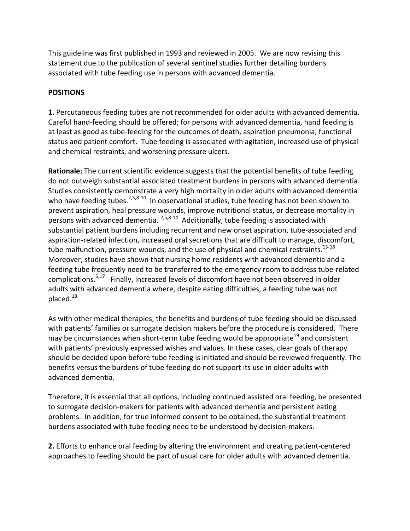This guideline was first published in 1993 and reviewed in 2005. We are now revising this statement due to the publication of several sentinel studies further detailing burdens associated with tube feeding use in persons with advanced dementia.

## **POSITIONS**

**1.** Percutaneous feeding tubes are not recommended for older adults with advanced dementia. Careful hand‐feeding should be offered; for persons with advanced dementia, hand feeding is at least as good as tube‐feeding for the outcomes of death, aspiration pneumonia, functional status and patient comfort. Tube feeding is associated with agitation, increased use of physical and chemical restraints, and worsening pressure ulcers.

**Rationale:** The current scientific evidence suggests that the potential benefits of tube feeding do not outweigh substantial associated treatment burdens in persons with advanced dementia. Studies consistently demonstrate a very high mortality in older adults with advanced dementia who have feeding tubes.<sup>2,5,8-10</sup> In observational studies, tube feeding has not been shown to prevent aspiration, heal pressure wounds, improve nutritional status, or decrease mortality in persons with advanced dementia. <sup>2,5,8-14</sup> Additionally, tube feeding is associated with substantial patient burdens including recurrent and new onset aspiration, tube‐associated and aspiration‐related infection, increased oral secretions that are difficult to manage, discomfort, tube malfunction, pressure wounds, and the use of physical and chemical restraints.<sup>13-16</sup> Moreover, studies have shown that nursing home residents with advanced dementia and a feeding tube frequently need to be transferred to the emergency room to address tube-related complications.<sup>5,17</sup> Finally, increased levels of discomfort have not been observed in older adults with advanced dementia where, despite eating difficulties, a feeding tube was not placed. $18$ 

As with other medical therapies, the benefits and burdens of tube feeding should be discussed with patients' families or surrogate decision makers before the procedure is considered. There may be circumstances when short-term tube feeding would be appropriate<sup>19</sup> and consistent with patients' previously expressed wishes and values. In these cases, clear goals of therapy should be decided upon before tube feeding is initiated and should be reviewed frequently. The benefits versus the burdens of tube feeding do not support its use in older adults with advanced dementia.

Therefore, it is essential that all options, including continued assisted oral feeding, be presented to surrogate decision‐makers for patients with advanced dementia and persistent eating problems. In addition, for true informed consent to be obtained, the substantial treatment burdens associated with tube feeding need to be understood by decision‐makers.

**2.** Efforts to enhance oral feeding by altering the environment and creating patient‐centered approaches to feeding should be part of usual care for older adults with advanced dementia.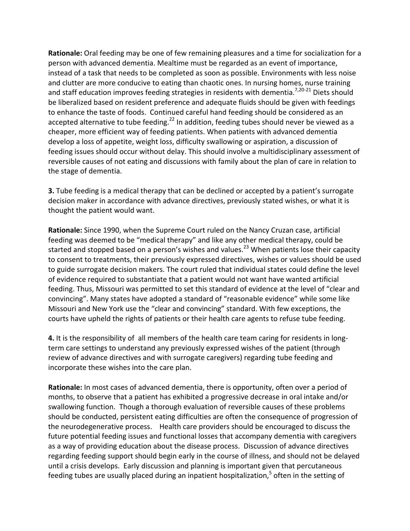**Rationale:** Oral feeding may be one of few remaining pleasures and a time for socialization for a person with advanced dementia. Mealtime must be regarded as an event of importance, instead of a task that needs to be completed as soon as possible. Environments with less noise and clutter are more conducive to eating than chaotic ones. In nursing homes, nurse training and staff education improves feeding strategies in residents with dementia.<sup>7,20-21</sup> Diets should be liberalized based on resident preference and adequate fluids should be given with feedings to enhance the taste of foods. Continued careful hand feeding should be considered as an accepted alternative to tube feeding.<sup>22</sup> In addition, feeding tubes should never be viewed as a cheaper, more efficient way of feeding patients. When patients with advanced dementia develop a loss of appetite, weight loss, difficulty swallowing or aspiration, a discussion of feeding issues should occur without delay. This should involve a multidisciplinary assessment of reversible causes of not eating and discussions with family about the plan of care in relation to the stage of dementia.

**3.** Tube feeding is a medical therapy that can be declined or accepted by a patient's surrogate decision maker in accordance with advance directives, previously stated wishes, or what it is thought the patient would want.

**Rationale:** Since 1990, when the Supreme Court ruled on the Nancy Cruzan case, artificial feeding was deemed to be "medical therapy" and like any other medical therapy, could be started and stopped based on a person's wishes and values.<sup>23</sup> When patients lose their capacity to consent to treatments, their previously expressed directives, wishes or values should be used to guide surrogate decision makers. The court ruled that individual states could define the level of evidence required to substantiate that a patient would not want have wanted artificial feeding. Thus, Missouri was permitted to set this standard of evidence at the level of "clear and convincing". Many states have adopted a standard of "reasonable evidence" while some like Missouri and New York use the "clear and convincing" standard. With few exceptions, the courts have upheld the rights of patients or their health care agents to refuse tube feeding.

**4.** It is the responsibility of all members of the health care team caring for residents in long‐ term care settings to understand any previously expressed wishes of the patient (through review of advance directives and with surrogate caregivers) regarding tube feeding and incorporate these wishes into the care plan.

**Rationale:** In most cases of advanced dementia, there is opportunity, often over a period of months, to observe that a patient has exhibited a progressive decrease in oral intake and/or swallowing function. Though a thorough evaluation of reversible causes of these problems should be conducted, persistent eating difficulties are often the consequence of progression of the neurodegenerative process. Health care providers should be encouraged to discuss the future potential feeding issues and functional losses that accompany dementia with caregivers as a way of providing education about the disease process. Discussion of advance directives regarding feeding support should begin early in the course of illness, and should not be delayed until a crisis develops. Early discussion and planning is important given that percutaneous feeding tubes are usually placed during an inpatient hospitalization,<sup>5</sup> often in the setting of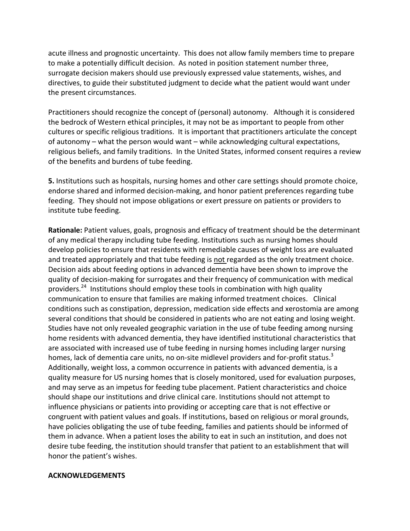acute illness and prognostic uncertainty. This does not allow family members time to prepare to make a potentially difficult decision. As noted in position statement number three, surrogate decision makers should use previously expressed value statements, wishes, and directives, to guide their substituted judgment to decide what the patient would want under the present circumstances.

Practitioners should recognize the concept of (personal) autonomy. Although it is considered the bedrock of Western ethical principles, it may not be as important to people from other cultures or specific religious traditions. It is important that practitioners articulate the concept of autonomy – what the person would want – while acknowledging cultural expectations, religious beliefs, and family traditions. In the United States, informed consent requires a review of the benefits and burdens of tube feeding.

**5.** Institutions such as hospitals, nursing homes and other care settings should promote choice, endorse shared and informed decision‐making, and honor patient preferences regarding tube feeding. They should not impose obligations or exert pressure on patients or providers to institute tube feeding.

**Rationale:** Patient values, goals, prognosis and efficacy of treatment should be the determinant of any medical therapy including tube feeding. Institutions such as nursing homes should develop policies to ensure that residents with remediable causes of weight loss are evaluated and treated appropriately and that tube feeding is not regarded as the only treatment choice. Decision aids about feeding options in advanced dementia have been shown to improve the quality of decision‐making for surrogates and their frequency of communication with medical providers.<sup>24</sup> Institutions should employ these tools in combination with high quality communication to ensure that families are making informed treatment choices. Clinical conditions such as constipation, depression, medication side effects and xerostomia are among several conditions that should be considered in patients who are not eating and losing weight. Studies have not only revealed geographic variation in the use of tube feeding among nursing home residents with advanced dementia, they have identified institutional characteristics that are associated with increased use of tube feeding in nursing homes including larger nursing homes, lack of dementia care units, no on-site midlevel providers and for-profit status.<sup>3</sup> Additionally, weight loss, a common occurrence in patients with advanced dementia, is a quality measure for US nursing homes that is closely monitored, used for evaluation purposes, and may serve as an impetus for feeding tube placement. Patient characteristics and choice should shape our institutions and drive clinical care. Institutions should not attempt to influence physicians or patients into providing or accepting care that is not effective or congruent with patient values and goals. If institutions, based on religious or moral grounds, have policies obligating the use of tube feeding, families and patients should be informed of them in advance. When a patient loses the ability to eat in such an institution, and does not desire tube feeding, the institution should transfer that patient to an establishment that will honor the patient's wishes.

## **ACKNOWLEDGEMENTS**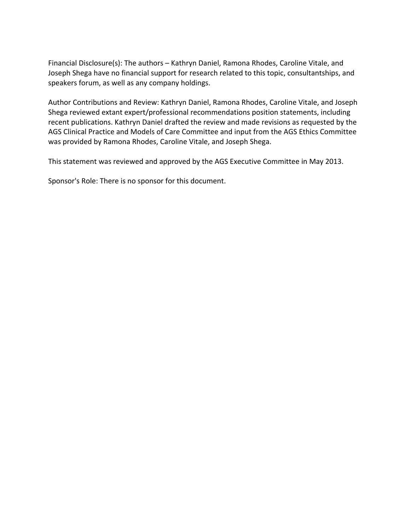Financial Disclosure(s): The authors – Kathryn Daniel, Ramona Rhodes, Caroline Vitale, and Joseph Shega have no financial support for research related to this topic, consultantships, and speakers forum, as well as any company holdings.

Author Contributions and Review: Kathryn Daniel, Ramona Rhodes, Caroline Vitale, and Joseph Shega reviewed extant expert/professional recommendations position statements, including recent publications. Kathryn Daniel drafted the review and made revisions as requested by the AGS Clinical Practice and Models of Care Committee and input from the AGS Ethics Committee was provided by Ramona Rhodes, Caroline Vitale, and Joseph Shega.

This statement was reviewed and approved by the AGS Executive Committee in May 2013.

Sponsor's Role: There is no sponsor for this document.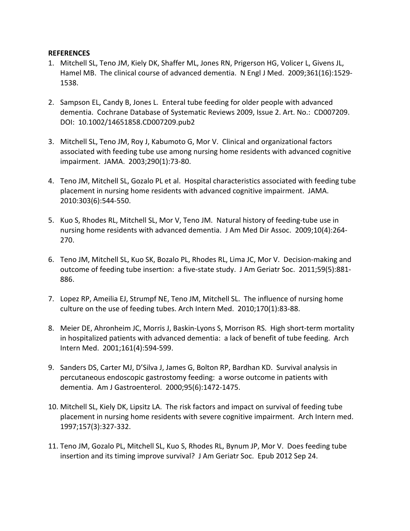## **REFERENCES**

- 1. Mitchell SL, Teno JM, Kiely DK, Shaffer ML, Jones RN, Prigerson HG, Volicer L, Givens JL, Hamel MB. The clinical course of advanced dementia. N Engl J Med. 2009;361(16):1529‐ 1538.
- 2. Sampson EL, Candy B, Jones L. Enteral tube feeding for older people with advanced dementia. Cochrane Database of Systematic Reviews 2009, Issue 2. Art. No.: CD007209. DOI: 10.1002/14651858.CD007209.pub2
- 3. Mitchell SL, Teno JM, Roy J, Kabumoto G, Mor V. Clinical and organizational factors associated with feeding tube use among nursing home residents with advanced cognitive impairment. JAMA. 2003;290(1):73‐80.
- 4. Teno JM, Mitchell SL, Gozalo PL et al. Hospital characteristics associated with feeding tube placement in nursing home residents with advanced cognitive impairment. JAMA. 2010:303(6):544‐550.
- 5. Kuo S, Rhodes RL, Mitchell SL, Mor V, Teno JM. Natural history of feeding-tube use in nursing home residents with advanced dementia. J Am Med Dir Assoc. 2009;10(4):264‐ 270.
- 6. Teno JM, Mitchell SL, Kuo SK, Bozalo PL, Rhodes RL, Lima JC, Mor V. Decision‐making and outcome of feeding tube insertion: a five‐state study. J Am Geriatr Soc. 2011;59(5):881‐ 886.
- 7. Lopez RP, Ameilia EJ, Strumpf NE, Teno JM, Mitchell SL. The influence of nursing home culture on the use of feeding tubes. Arch Intern Med. 2010;170(1):83‐88.
- 8. Meier DE, Ahronheim JC, Morris J, Baskin-Lyons S, Morrison RS. High short-term mortality in hospitalized patients with advanced dementia: a lack of benefit of tube feeding. Arch Intern Med. 2001;161(4):594‐599.
- 9. Sanders DS, Carter MJ, D'Silva J, James G, Bolton RP, Bardhan KD. Survival analysis in percutaneous endoscopic gastrostomy feeding: a worse outcome in patients with dementia. Am J Gastroenterol. 2000;95(6):1472‐1475.
- 10. Mitchell SL, Kiely DK, Lipsitz LA. The risk factors and impact on survival of feeding tube placement in nursing home residents with severe cognitive impairment. Arch Intern med. 1997;157(3):327‐332.
- 11. Teno JM, Gozalo PL, Mitchell SL, Kuo S, Rhodes RL, Bynum JP, Mor V. Does feeding tube insertion and its timing improve survival? J Am Geriatr Soc. Epub 2012 Sep 24.